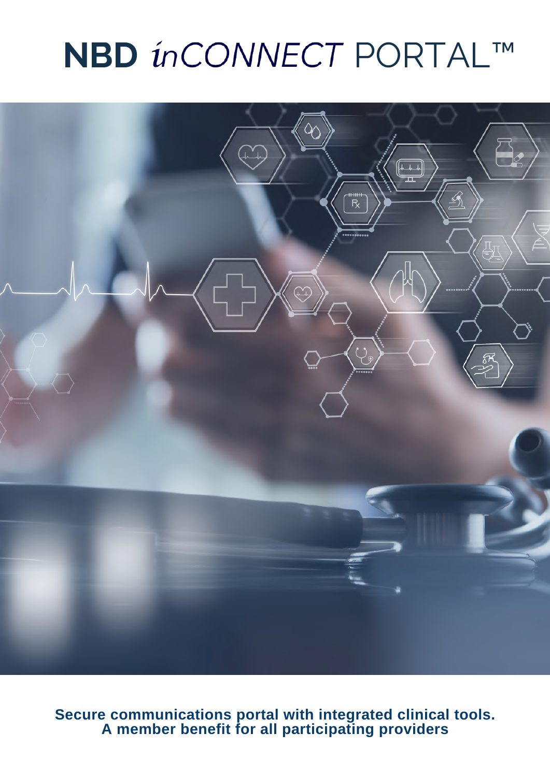

**Secure communications portal with integrated clinical tools. A member benefit for all participating providers**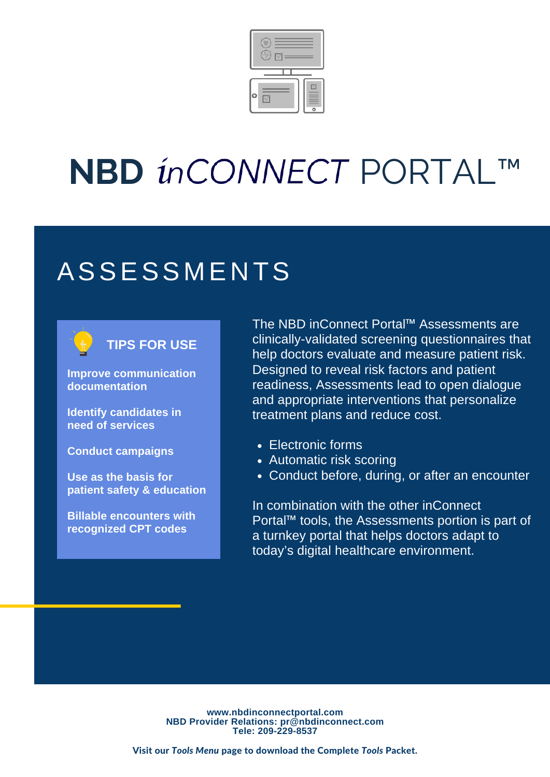

### **ASSESSMENTS**

#### **TIPS FOR USE**

**Improve communication documentation**

**Identify candidates in need of services**

**Conduct campaigns**

**Use as the basis for patient safety & education**

**Billable encounters with recognized CPT codes**

The NBD inConnect Portal™ Assessments are clinically-validated screening questionnaires that help doctors evaluate and measure patient risk. Designed to reveal risk factors and patient readiness, Assessments lead to open dialogue and appropriate interventions that personalize treatment plans and reduce cost.

- Electronic forms
- Automatic risk scoring
- Conduct before, during, or after an encounter

In combination with the other inConnect Portal™ tools, the Assessments portion is part of a turnkey portal that helps doctors adapt to today's digital healthcare environment.

**www.nbdinconnectportal.com NBD Provider Relations: pr@nbdinconnect.com Tele: 209-229-8537**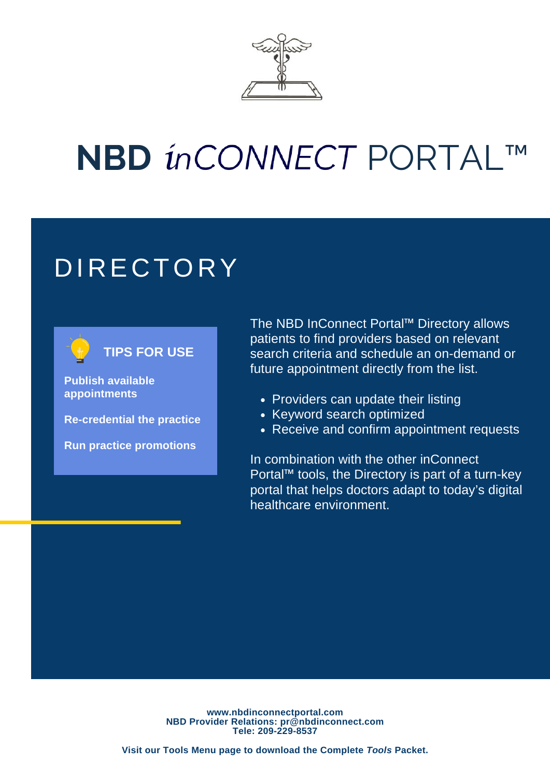

### **DIRECTORY**

#### **TIPS FOR USE**

**Publish available appointments**

**Re-credential the practice**

**Run practice promotions**

The NBD InConnect Portal™ Directory allows patients to find providers based on relevant search criteria and schedule an on-demand or future appointment directly from the list.

- Providers can update their listing
- Keyword search optimized
- Receive and confirm appointment requests

In combination with the other inConnect Portal™ tools, the Directory is part of a turn-key portal that helps doctors adapt to today's digital healthcare environment.

**www.nbdinconnectportal.com NBD Provider Relations: pr@nbdinconnect.com Tele: 209-229-8537**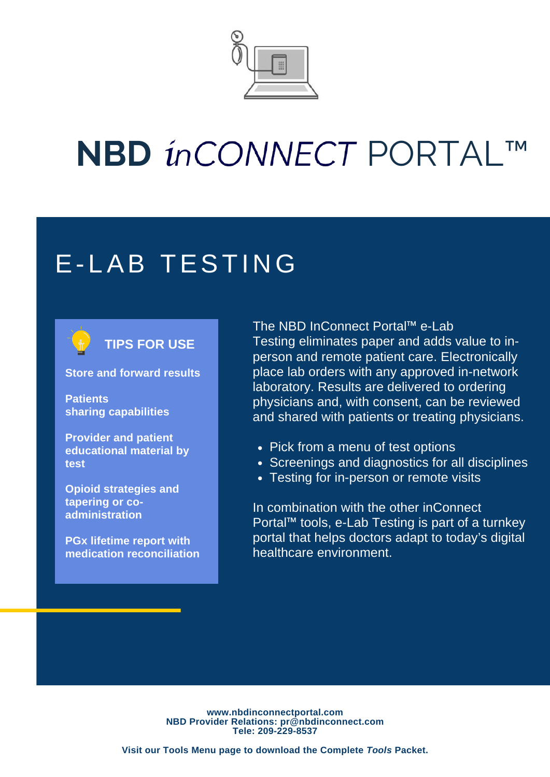

### E-LAB TESTING

#### **TIPS FOR USE**

**Store and forward results**

**Patients sharing capabilities**

**Provider and patient educational material by test**

**Opioid strategies and tapering or coadministration**

**PGx lifetime report with medication reconciliation** The NBD InConnect Portal™ e-Lab Testing eliminates paper and adds value to inperson and remote patient care. Electronically place lab orders with any approved in-network laboratory. Results are delivered to ordering physicians and, with consent, can be reviewed and shared with patients or treating physicians.

- Pick from a menu of test options
- Screenings and diagnostics for all disciplines
- Testing for in-person or remote visits

In combination with the other inConnect Portal™ tools, e-Lab Testing is part of a turnkey portal that helps doctors adapt to today's digital healthcare environment.

**www.nbdinconnectportal.com NBD Provider Relations: pr@nbdinconnect.com Tele: 209-229-8537**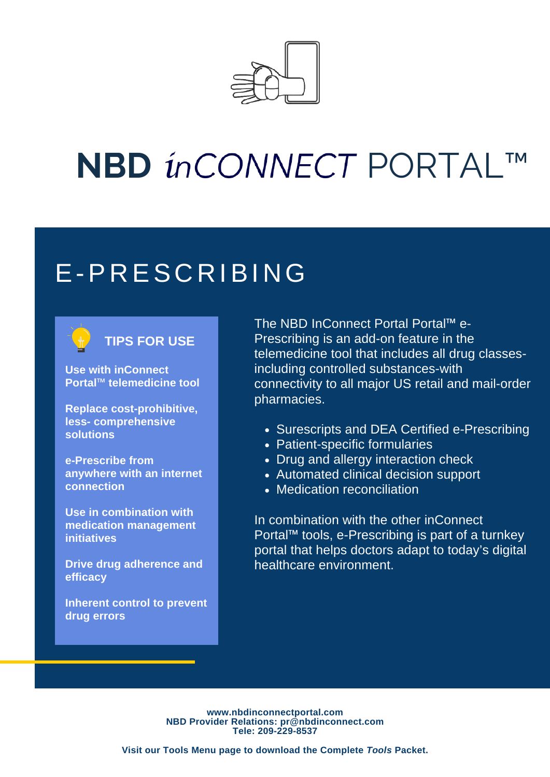

#### E-P R ES C R IBI NG

#### **TIPS FOR USE**

**Use with inConnect Portal™ telemedicine tool**

**Replace cost-prohibitive, less- comprehensive solutions**

**e-Prescribe from anywhere with an internet connection**

**Use in combination with medication management initiatives**

**Drive drug adherence and efficacy**

**Inherent control to prevent drug errors**

The NBD InConnect Portal Portal™ e-Prescribing is an add-on feature in the telemedicine tool that includes all drug classesincluding controlled substances-with connectivity to all major US retail and mail-order pharmacies.

- Surescripts and DEA Certified e-Prescribing
- Patient-specific formularies
- Drug and allergy interaction check
- Automated clinical decision support
- Medication reconciliation

In combination with the other inConnect Portal™ tools, e-Prescribing is part of a turnkey portal that helps doctors adapt to today's digital healthcare environment.

**www.nbdinconnectportal.com NBD Provider Relations: pr@nbdinconnect.com Tele: 209-229-8537**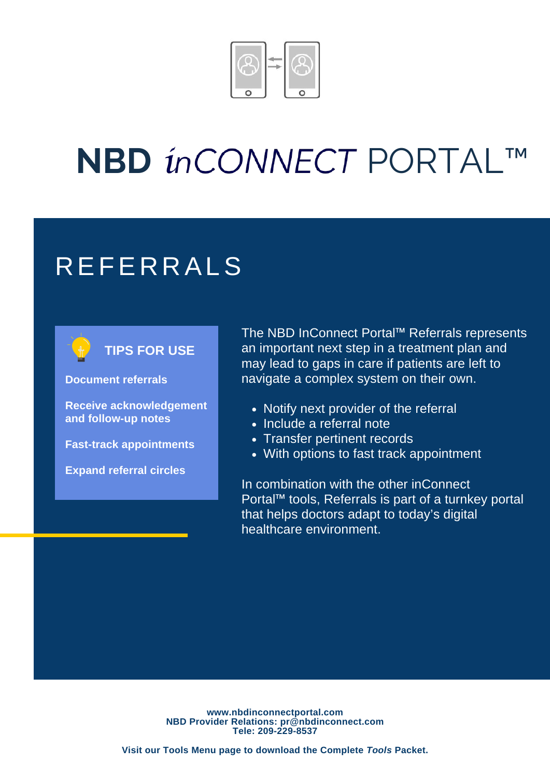

### **REFERRALS**

#### **TIPS FOR USE**

**Document referrals**

**Receive acknowledgement and follow-up notes**

**Fast-track appointments**

**Expand referral circles**

The NBD InConnect Portal™ Referrals represents an important next step in a treatment plan and may lead to gaps in care if patients are left to navigate a complex system on their own.

- Notify next provider of the referral
- Include a referral note
- Transfer pertinent records
- With options to fast track appointment

In combination with the other inConnect Portal™ tools, Referrals is part of a turnkey portal that helps doctors adapt to today's digital healthcare environment.

**www.nbdinconnectportal.com NBD Provider Relations: pr@nbdinconnect.com Tele: 209-229-8537**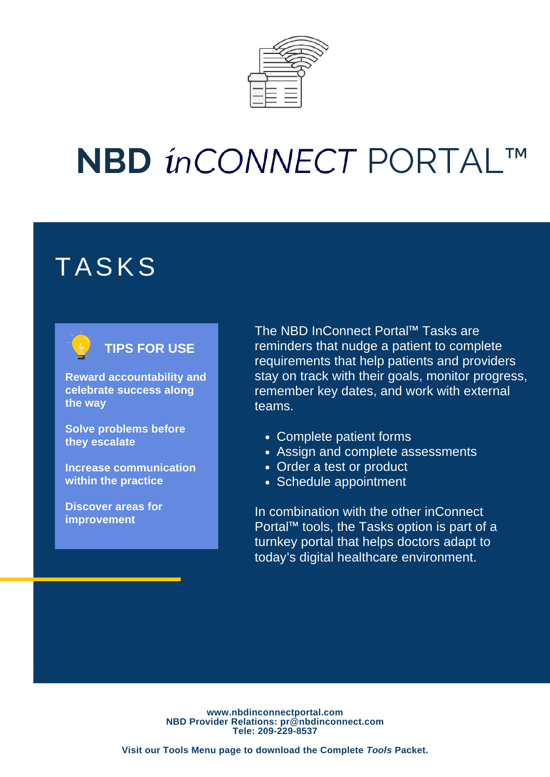

### TASKS



#### **TIPS FOR USE**

**Reward accountability and celebrate success along the way**

**Solve problems before they escalate**

**Increase communication within the practice**

**Discover areas for improvement**

The NBD InConnect Portal™ Tasks are reminders that nudge a patient to complete requirements that help patients and providers stay on track with their goals, monitor progress, remember key dates, and work with external teams.

- Complete patient forms
- Assign and complete assessments
- Order a test or product
- Schedule appointment

In combination with the other inConnect Portal™ tools, the Tasks option is part of a turnkey portal that helps doctors adapt to today's digital healthcare environment.

**www.nbdinconnectportal.com NBD Provider Relations: pr@nbdinconnect.com Tele: 209-229-8537**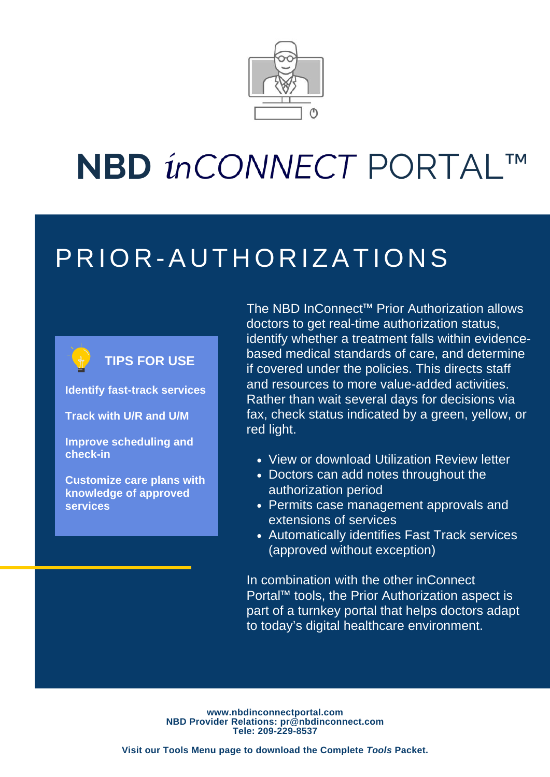

### P R IOR - A U T HORIZATIONS



**TIPS FOR USE**

**Identify fast-track services**

**Track with U/R and U/M**

**Improve scheduling and check-in**

**Customize care plans with knowledge of approved services**

The NBD InConnect™ Prior Authorization allows doctors to get real-time authorization status, identify whether a treatment falls within evidencebased medical standards of care, and determine if covered under the policies. This directs staff and resources to more value-added activities. Rather than wait several days for decisions via fax, check status indicated by a green, yellow, or red light.

- View or download Utilization Review letter
- Doctors can add notes throughout the authorization period
- Permits case management approvals and extensions of services
- Automatically identifies Fast Track services (approved without exception)

In combination with the other inConnect Portal™ tools, the Prior Authorization aspect is part of a turnkey portal that helps doctors adapt to today's digital healthcare environment.

**www.nbdinconnectportal.com NBD Provider Relations: pr@nbdinconnect.com Tele: 209-229-8537**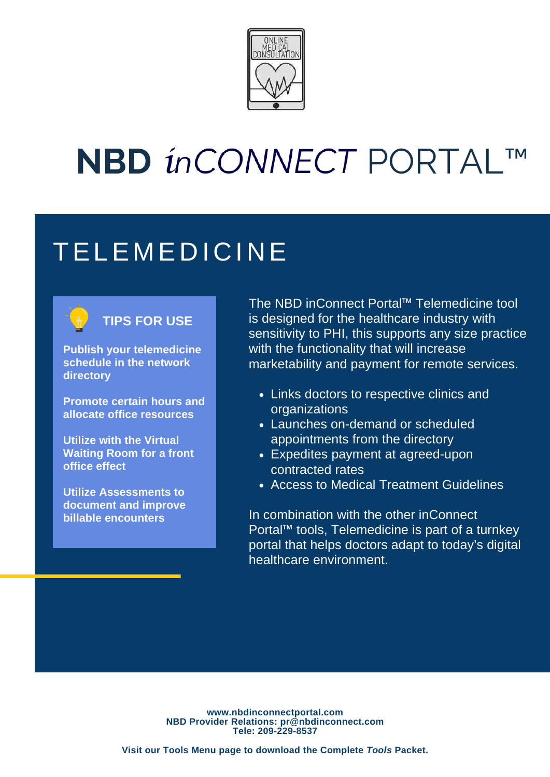

### **TELEMEDICINE**



#### **TIPS FOR USE**

**Publish your telemedicine schedule in the network directory**

**Promote certain hours and allocate office resources**

**Utilize with the Virtual Waiting Room for a front office effect**

**Utilize Assessments to document and improve billable encounters**

The NBD inConnect Portal™ Telemedicine tool is designed for the healthcare industry with sensitivity to PHI, this supports any size practice with the functionality that will increase marketability and payment for remote services.

- Links doctors to respective clinics and organizations
- Launches on-demand or scheduled appointments from the directory
- Expedites payment at agreed-upon contracted rates
- Access to Medical Treatment Guidelines

In combination with the other inConnect Portal™ tools, Telemedicine is part of a turnkey portal that helps doctors adapt to today's digital healthcare environment.

**www.nbdinconnectportal.com NBD Provider Relations: pr@nbdinconnect.com Tele: 209-229-8537**